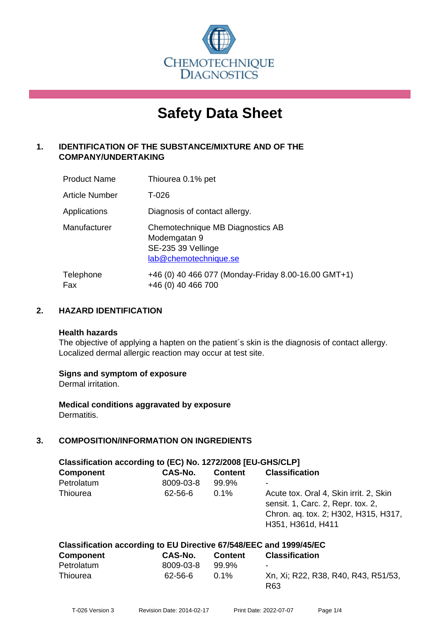

# **Safety Data Sheet**

# **1. IDENTIFICATION OF THE SUBSTANCE/MIXTURE AND OF THE COMPANY/UNDERTAKING**

| <b>Product Name</b>   | Thiourea 0.1% pet                                                                               |
|-----------------------|-------------------------------------------------------------------------------------------------|
| <b>Article Number</b> | T-026                                                                                           |
| Applications          | Diagnosis of contact allergy.                                                                   |
| Manufacturer          | Chemotechnique MB Diagnostics AB<br>Modemgatan 9<br>SE-235 39 Vellinge<br>lab@chemotechnique.se |
| Telephone<br>Fax      | +46 (0) 40 466 077 (Monday-Friday 8.00-16.00 GMT+1)<br>+46 (0) 40 466 700                       |

# **2. HAZARD IDENTIFICATION**

#### **Health hazards**

The objective of applying a hapten on the patient's skin is the diagnosis of contact allergy. Localized dermal allergic reaction may occur at test site.

# **Signs and symptom of exposure**

Dermal irritation.

**Medical conditions aggravated by exposure** Dermatitis.

# **3. COMPOSITION/INFORMATION ON INGREDIENTS**

| Classification according to (EC) No. 1272/2008 [EU-GHS/CLP]        |           |                |                                                                                                                                          |  |
|--------------------------------------------------------------------|-----------|----------------|------------------------------------------------------------------------------------------------------------------------------------------|--|
| <b>Component</b>                                                   | CAS-No.   | <b>Content</b> | <b>Classification</b>                                                                                                                    |  |
| Petrolatum                                                         | 8009-03-8 | 99.9%          |                                                                                                                                          |  |
| Thiourea                                                           | 62-56-6   | $0.1\%$        | Acute tox. Oral 4, Skin irrit. 2, Skin<br>sensit. 1, Carc. 2, Repr. tox. 2,<br>Chron. aq. tox. 2; H302, H315, H317,<br>H351, H361d, H411 |  |
| Classification according to EU Directive 67/548/EEC and 1999/45/EC |           |                |                                                                                                                                          |  |

| <b>Component</b> | CAS-No.   | <b>Content</b> | <b>Classification</b>                      |
|------------------|-----------|----------------|--------------------------------------------|
| Petrolatum       | 8009-03-8 | 99.9%          | $\blacksquare$                             |
| Thiourea         | 62-56-6   | $0.1\%$        | Xn, Xi; R22, R38, R40, R43, R51/53,<br>R63 |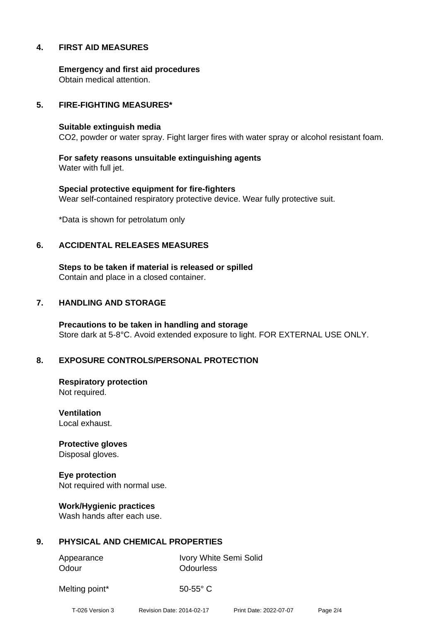# **4. FIRST AID MEASURES**

**Emergency and first aid procedures** Obtain medical attention.

### **5. FIRE-FIGHTING MEASURES\***

#### **Suitable extinguish media**

CO2, powder or water spray. Fight larger fires with water spray or alcohol resistant foam.

**For safety reasons unsuitable extinguishing agents** Water with full jet.

**Special protective equipment for fire-fighters** Wear self-contained respiratory protective device. Wear fully protective suit.

\*Data is shown for petrolatum only

#### **6. ACCIDENTAL RELEASES MEASURES**

**Steps to be taken if material is released or spilled** Contain and place in a closed container.

### **7. HANDLING AND STORAGE**

**Precautions to be taken in handling and storage** Store dark at 5-8°C. Avoid extended exposure to light. FOR EXTERNAL USE ONLY.

# **8. EXPOSURE CONTROLS/PERSONAL PROTECTION**

**Respiratory protection** Not required.

**Ventilation** Local exhaust.

**Protective gloves** Disposal gloves.

**Eye protection** Not required with normal use.

**Work/Hygienic practices** Wash hands after each use.

# **9. PHYSICAL AND CHEMICAL PROPERTIES**

Odour **Odourless** 

Appearance Ivory White Semi Solid

Melting point\* 50-55° C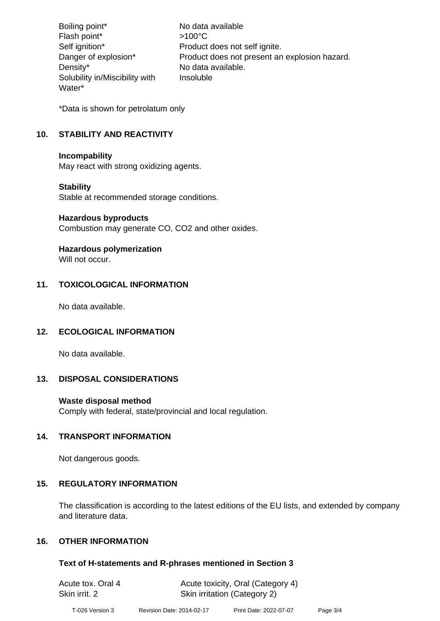Boiling point\* No data available Flash point\*  $>100^{\circ}$ C Self ignition\* Product does not self ignite. Danger of explosion\* Product does not present an explosion hazard. Density\* No data available. Solubility in/Miscibility with Water\* Insoluble

\*Data is shown for petrolatum only

# **10. STABILITY AND REACTIVITY**

#### **Incompability**

May react with strong oxidizing agents.

# **Stability**

Stable at recommended storage conditions.

#### **Hazardous byproducts**

Combustion may generate CO, CO2 and other oxides.

# **Hazardous polymerization**

Will not occur.

# **11. TOXICOLOGICAL INFORMATION**

No data available.

# **12. ECOLOGICAL INFORMATION**

No data available.

# **13. DISPOSAL CONSIDERATIONS**

# **Waste disposal method**

Comply with federal, state/provincial and local regulation.

# **14. TRANSPORT INFORMATION**

Not dangerous goods.

# **15. REGULATORY INFORMATION**

The classification is according to the latest editions of the EU lists, and extended by company and literature data.

# **16. OTHER INFORMATION**

# **Text of H-statements and R-phrases mentioned in Section 3**

| Acute tox. Oral 4 | Acute toxicity, Oral (Category 4) |
|-------------------|-----------------------------------|
| Skin irrit. 2     | Skin irritation (Category 2)      |
|                   |                                   |